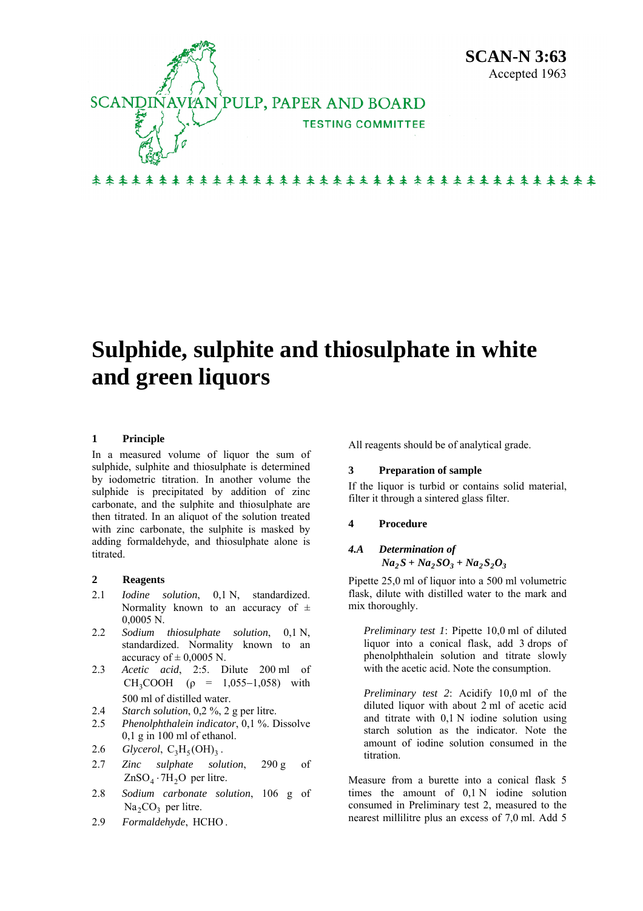

# **Sulphide, sulphite and thiosulphate in white and green liquors**

## **1 Principle**

In a measured volume of liquor the sum of sulphide, sulphite and thiosulphate is determined by iodometric titration. In another volume the sulphide is precipitated by addition of zinc carbonate, and the sulphite and thiosulphate are then titrated. In an aliquot of the solution treated with zinc carbonate, the sulphite is masked by adding formaldehyde, and thiosulphate alone is titrated.

## **2 Reagents**

- 2.1 *Iodine solution*, 0,1 N, standardized. Normality known to an accuracy of  $\pm$ 0,0005 N.
- 2.2 *Sodium thiosulphate solution*, 0,1 N, standardized. Normality known to an accuracy of  $\pm$  0,0005 N.
- 2.3 *Acetic acid*, 2:5. Dilute 200 ml of CH<sub>3</sub>COOH ( $\rho$  = 1,055–1,058) with 500 ml of distilled water.
- 2.4 *Starch solution*, 0,2 %, 2 g per litre.
- 2.5 *Phenolphthalein indicator*, 0,1 %. Dissolve 0,1 g in 100 ml of ethanol.
- 2.6 *Glycerol*,  $C_3H_5(OH)_3$ .
- 2.7 *Zinc sulphate solution*, 290 g of  $ZnSO<sub>4</sub> \cdot 7H<sub>2</sub>O$  per litre.
- $Na<sub>2</sub>CO<sub>3</sub>$  per litre. 2.8 *Sodium carbonate solution*, 106 g of
- 2.9 *Formaldehyde*, HCHO .

All reagents should be of analytical grade.

### **3 Preparation of sample**

If the liquor is turbid or contains solid material, filter it through a sintered glass filter.

### **4 Procedure**

## *4.A Determination of*   $Na_2S + Na_2SO_3 + Na_2S_2O_3$

Pipette 25,0 ml of liquor into a 500 ml volumetric flask, dilute with distilled water to the mark and mix thoroughly.

*Preliminary test 1*: Pipette 10,0 ml of diluted liquor into a conical flask, add 3 drops of phenolphthalein solution and titrate slowly with the acetic acid. Note the consumption.

*Preliminary test 2*: Acidify 10,0 ml of the diluted liquor with about 2 ml of acetic acid and titrate with 0,1 N iodine solution using starch solution as the indicator. Note the amount of iodine solution consumed in the titration.

Measure from a burette into a conical flask 5 times the amount of 0,1 N iodine solution consumed in Preliminary test 2, measured to the nearest millilitre plus an excess of 7,0 ml. Add 5